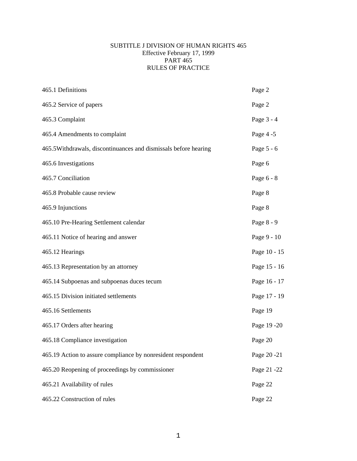#### SUBTITLE J DIVISION OF HUMAN RIGHTS 465 Effective February 17, 1999 PART 465 RULES OF PRACTICE

| 465.1 Definitions                                               | Page 2       |
|-----------------------------------------------------------------|--------------|
| 465.2 Service of papers                                         | Page 2       |
| 465.3 Complaint                                                 | Page 3 - 4   |
| 465.4 Amendments to complaint                                   | Page 4 -5    |
| 465.5Withdrawals, discontinuances and dismissals before hearing | Page 5 - 6   |
| 465.6 Investigations                                            | Page 6       |
| 465.7 Conciliation                                              | Page 6 - 8   |
| 465.8 Probable cause review                                     | Page 8       |
| 465.9 Injunctions                                               | Page 8       |
| 465.10 Pre-Hearing Settlement calendar                          | Page 8 - 9   |
| 465.11 Notice of hearing and answer                             | Page 9 - 10  |
| 465.12 Hearings                                                 | Page 10 - 15 |
| 465.13 Representation by an attorney                            | Page 15 - 16 |
| 465.14 Subpoenas and subpoenas duces tecum                      | Page 16 - 17 |
| 465.15 Division initiated settlements                           | Page 17 - 19 |
| 465.16 Settlements                                              | Page 19      |
| 465.17 Orders after hearing                                     | Page 19 - 20 |
| 465.18 Compliance investigation                                 | Page 20      |
| 465.19 Action to assure compliance by nonresident respondent    | Page 20 -21  |
| 465.20 Reopening of proceedings by commissioner                 | Page 21 -22  |
| 465.21 Availability of rules                                    | Page 22      |
| 465.22 Construction of rules                                    | Page 22      |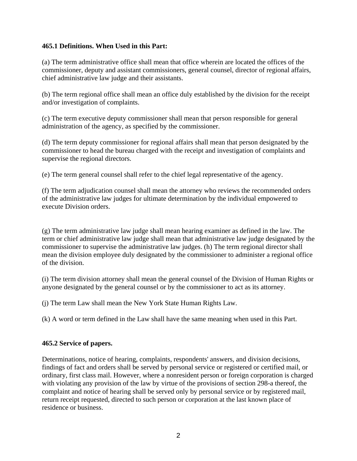### <span id="page-1-0"></span>**465.1 Definitions. When Used in this Part:**

(a) The term administrative office shall mean that office wherein are located the offices of the commissioner, deputy and assistant commissioners, general counsel, director of regional affairs, chief administrative law judge and their assistants.

(b) The term regional office shall mean an office duly established by the division for the receipt and/or investigation of complaints.

(c) The term executive deputy commissioner shall mean that person responsible for general administration of the agency, as specified by the commissioner.

(d) The term deputy commissioner for regional affairs shall mean that person designated by the commissioner to head the bureau charged with the receipt and investigation of complaints and supervise the regional directors.

(e) The term general counsel shall refer to the chief legal representative of the agency.

(f) The term adjudication counsel shall mean the attorney who reviews the recommended orders of the administrative law judges for ultimate determination by the individual empowered to execute Division orders.

(g) The term administrative law judge shall mean hearing examiner as defined in the law. The term or chief administrative law judge shall mean that administrative law judge designated by the commissioner to supervise the administrative law judges. (h) The term regional director shall mean the division employee duly designated by the commissioner to administer a regional office of the division.

(i) The term division attorney shall mean the general counsel of the Division of Human Rights or anyone designated by the general counsel or by the commissioner to act as its attorney.

(j) The term Law shall mean the New York State Human Rights Law.

(k) A word or term defined in the Law shall have the same meaning when used in this Part.

### **465.2 Service of papers.**

Determinations, notice of hearing, complaints, respondents' answers, and division decisions, findings of fact and orders shall be served by personal service or registered or certified mail, or ordinary, first class mail. However, where a nonresident person or foreign corporation is charged with violating any provision of the law by virtue of the provisions of section 298-a thereof, the complaint and notice of hearing shall be served only by personal service or by registered mail, return receipt requested, directed to such person or corporation at the last known place of residence or business.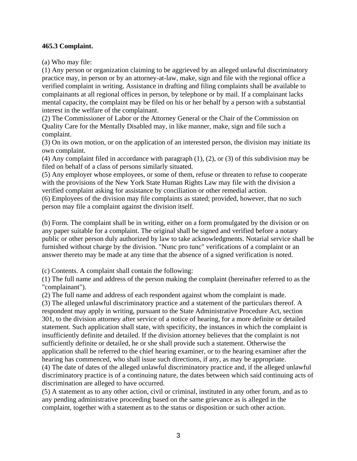### <span id="page-2-0"></span>**465.3 Complaint.**

(a) Who may file:

(1) Any person or organization claiming to be aggrieved by an alleged unlawful discriminatory practice may, in person or by an attorney-at-law, make, sign and file with the regional office a verified complaint in writing. Assistance in drafting and filing complaints shall be available to complainants at all regional offices in person, by telephone or by mail. If a complainant lacks mental capacity, the complaint may be filed on his or her behalf by a person with a substantial interest in the welfare of the complainant.

(2) The Commissioner of Labor or the Attorney General or the Chair of the Commission on Quality Care for the Mentally Disabled may, in like manner, make, sign and file such a complaint.

(3) On its own motion, or on the application of an interested person, the division may initiate its own complaint.

(4) Any complaint filed in accordance with paragraph (1), (2), or (3) of this subdivision may be filed on behalf of a class of persons similarly situated.

(5) Any employer whose employees, or some of them, refuse or threaten to refuse to cooperate with the provisions of the New York State Human Rights Law may file with the division a verified complaint asking for assistance by conciliation or other remedial action.

(6) Employees of the division may file complaints as stated; provided, however, that no such person may file a complaint against the division itself.

(b) Form. The complaint shall be in writing, either on a form promulgated by the division or on any paper suitable for a complaint. The original shall be signed and verified before a notary public or other person duly authorized by law to take acknowledgments. Notarial service shall be furnished without charge by the division. "Nunc pro tunc" verifications of a complaint or an answer thereto may be made at any time that the absence of a signed verification is noted.

(c) Contents. A complaint shall contain the following:

(1) The full name and address of the person making the complaint (hereinafter referred to as the "complainant").

(2) The full name and address of each respondent against whom the complaint is made.

(3) The alleged unlawful discriminatory practice and a statement of the particulars thereof. A respondent may apply in writing, pursuant to the State Administrative Procedure Act, section 301, to the division attorney after service of a notice of hearing, for a more definite or detailed statement. Such application shall state, with specificity, the instances in which the complaint is insufficiently definite and detailed. If the division attorney believes that the complaint is not sufficiently definite or detailed, he or she shall provide such a statement. Otherwise the application shall be referred to the chief hearing examiner, or to the hearing examiner after the hearing has commenced, who shall issue such directions, if any, as may be appropriate.

(4) The date of dates of the alleged unlawful discriminatory practice and, if the alleged unlawful discriminatory practice is of a continuing nature, the dates between which said continuing acts of discrimination are alleged to have occurred.

(5) A statement as to any other action, civil or criminal, instituted in any other forum, and as to any pending administrative proceeding based on the same grievance as is alleged in the complaint, together with a statement as to the status or disposition or such other action.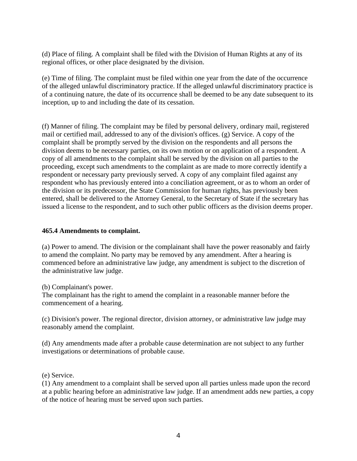<span id="page-3-0"></span>(d) Place of filing. A complaint shall be filed with the Division of Human Rights at any of its regional offices, or other place designated by the division.

(e) Time of filing. The complaint must be filed within one year from the date of the occurrence of the alleged unlawful discriminatory practice. If the alleged unlawful discriminatory practice is of a continuing nature, the date of its occurrence shall be deemed to be any date subsequent to its inception, up to and including the date of its cessation.

(f) Manner of filing. The complaint may be filed by personal delivery, ordinary mail, registered mail or certified mail, addressed to any of the division's offices. (g) Service. A copy of the complaint shall be promptly served by the division on the respondents and all persons the division deems to be necessary parties, on its own motion or on application of a respondent. A copy of all amendments to the complaint shall be served by the division on all parties to the proceeding, except such amendments to the complaint as are made to more correctly identify a respondent or necessary party previously served. A copy of any complaint filed against any respondent who has previously entered into a conciliation agreement, or as to whom an order of the division or its predecessor, the State Commission for human rights, has previously been entered, shall be delivered to the Attorney General, to the Secretary of State if the secretary has issued a license to the respondent, and to such other public officers as the division deems proper.

### **465.4 Amendments to complaint.**

(a) Power to amend. The division or the complainant shall have the power reasonably and fairly to amend the complaint. No party may be removed by any amendment. After a hearing is commenced before an administrative law judge, any amendment is subject to the discretion of the administrative law judge.

(b) Complainant's power.

The complainant has the right to amend the complaint in a reasonable manner before the commencement of a hearing.

(c) Division's power. The regional director, division attorney, or administrative law judge may reasonably amend the complaint.

(d) Any amendments made after a probable cause determination are not subject to any further investigations or determinations of probable cause.

(e) Service.

(1) Any amendment to a complaint shall be served upon all parties unless made upon the record at a public hearing before an administrative law judge. If an amendment adds new parties, a copy of the notice of hearing must be served upon such parties.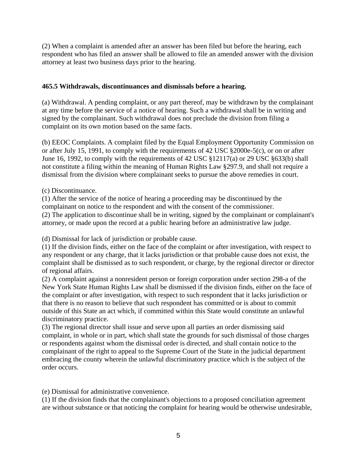<span id="page-4-0"></span>(2) When a complaint is amended after an answer has been filed but before the hearing, each respondent who has filed an answer shall be allowed to file an amended answer with the division attorney at least two business days prior to the hearing.

## **465.5 Withdrawals, discontinuances and dismissals before a hearing.**

(a) Withdrawal. A pending complaint, or any part thereof, may be withdrawn by the complainant at any time before the service of a notice of hearing. Such a withdrawal shall be in writing and signed by the complainant. Such withdrawal does not preclude the division from filing a complaint on its own motion based on the same facts.

(b) EEOC Complaints. A complaint filed by the Equal Employment Opportunity Commission on or after July 15, 1991, to comply with the requirements of 42 USC §2000e-5(c), or on or after June 16, 1992, to comply with the requirements of 42 USC §12117(a) or 29 USC §633(b) shall not constitute a filing within the meaning of Human Rights Law §297.9, and shall not require a dismissal from the division where complainant seeks to pursue the above remedies in court.

### (c) Discontinuance.

(1) After the service of the notice of hearing a proceeding may be discontinued by the complainant on notice to the respondent and with the consent of the commissioner. (2) The application to discontinue shall be in writing, signed by the complainant or complainant's attorney, or made upon the record at a public hearing before an administrative law judge.

(d) Dismissal for lack of jurisdiction or probable cause.

(1) If the division finds, either on the face of the complaint or after investigation, with respect to any respondent or any charge, that it lacks jurisdiction or that probable cause does not exist, the complaint shall be dismissed as to such respondent, or charge, by the regional director or director of regional affairs.

(2) A complaint against a nonresident person or foreign corporation under section 298-a of the New York State Human Rights Law shall be dismissed if the division finds, either on the face of the complaint or after investigation, with respect to such respondent that it lacks jurisdiction or that there is no reason to believe that such respondent has committed or is about to commit outside of this State an act which, if committed within this State would constitute an unlawful discriminatory practice.

(3) The regional director shall issue and serve upon all parties an order dismissing said complaint, in whole or in part, which shall state the grounds for such dismissal of those charges or respondents against whom the dismissal order is directed, and shall contain notice to the complainant of the right to appeal to the Supreme Court of the State in the judicial department embracing the county wherein the unlawful discriminatory practice which is the subject of the order occurs.

(e) Dismissal for administrative convenience.

(1) If the division finds that the complainant's objections to a proposed conciliation agreement are without substance or that noticing the complaint for hearing would be otherwise undesirable,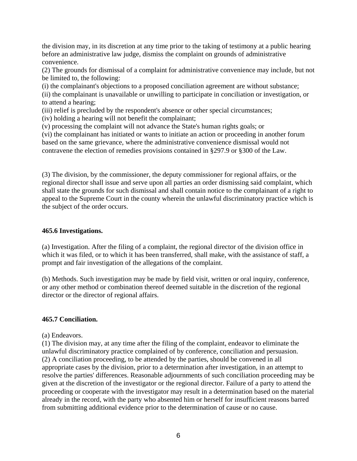<span id="page-5-0"></span>the division may, in its discretion at any time prior to the taking of testimony at a public hearing before an administrative law judge, dismiss the complaint on grounds of administrative convenience.

(2) The grounds for dismissal of a complaint for administrative convenience may include, but not be limited to, the following:

(i) the complainant's objections to a proposed conciliation agreement are without substance;

(ii) the complainant is unavailable or unwilling to participate in conciliation or investigation, or to attend a hearing;

(iii) relief is precluded by the respondent's absence or other special circumstances;

(iv) holding a hearing will not benefit the complainant;

(v) processing the complaint will not advance the State's human rights goals; or

(vi) the complainant has initiated or wants to initiate an action or proceeding in another forum based on the same grievance, where the administrative convenience dismissal would not contravene the election of remedies provisions contained in §297.9 or §300 of the Law.

(3) The division, by the commissioner, the deputy commissioner for regional affairs, or the regional director shall issue and serve upon all parties an order dismissing said complaint, which shall state the grounds for such dismissal and shall contain notice to the complainant of a right to appeal to the Supreme Court in the county wherein the unlawful discriminatory practice which is the subject of the order occurs.

### **465.6 Investigations.**

(a) Investigation. After the filing of a complaint, the regional director of the division office in which it was filed, or to which it has been transferred, shall make, with the assistance of staff, a prompt and fair investigation of the allegations of the complaint.

(b) Methods. Such investigation may be made by field visit, written or oral inquiry, conference, or any other method or combination thereof deemed suitable in the discretion of the regional director or the director of regional affairs.

### **465.7 Conciliation.**

(a) Endeavors.

(1) The division may, at any time after the filing of the complaint, endeavor to eliminate the unlawful discriminatory practice complained of by conference, conciliation and persuasion. (2) A conciliation proceeding, to be attended by the parties, should be convened in all appropriate cases by the division, prior to a determination after investigation, in an attempt to resolve the parties' differences. Reasonable adjournments of such conciliation proceeding may be given at the discretion of the investigator or the regional director. Failure of a party to attend the proceeding or cooperate with the investigator may result in a determination based on the material already in the record, with the party who absented him or herself for insufficient reasons barred from submitting additional evidence prior to the determination of cause or no cause.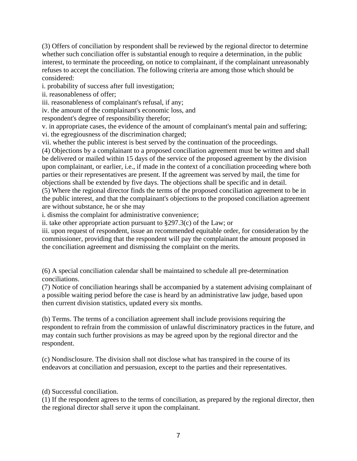(3) Offers of conciliation by respondent shall be reviewed by the regional director to determine whether such conciliation offer is substantial enough to require a determination, in the public interest, to terminate the proceeding, on notice to complainant, if the complainant unreasonably refuses to accept the conciliation. The following criteria are among those which should be considered:

i. probability of success after full investigation;

ii. reasonableness of offer;

iii. reasonableness of complainant's refusal, if any;

iv. the amount of the complainant's economic loss, and

respondent's degree of responsibility therefor;

v. in appropriate cases, the evidence of the amount of complainant's mental pain and suffering; vi. the egregiousness of the discrimination charged;

vii. whether the public interest is best served by the continuation of the proceedings.

(4) Objections by a complainant to a proposed conciliation agreement must be written and shall be delivered or mailed within 15 days of the service of the proposed agreement by the division upon complainant, or earlier, i.e., if made in the context of a conciliation proceeding where both parties or their representatives are present. If the agreement was served by mail, the time for objections shall be extended by five days. The objections shall be specific and in detail.

(5) Where the regional director finds the terms of the proposed conciliation agreement to be in the public interest, and that the complainant's objections to the proposed conciliation agreement are without substance, he or she may

i. dismiss the complaint for administrative convenience;

ii. take other appropriate action pursuant to §297.3(c) of the Law; or

iii. upon request of respondent, issue an recommended equitable order, for consideration by the commissioner, providing that the respondent will pay the complainant the amount proposed in the conciliation agreement and dismissing the complaint on the merits.

(6) A special conciliation calendar shall be maintained to schedule all pre-determination conciliations.

(7) Notice of conciliation hearings shall be accompanied by a statement advising complainant of a possible waiting period before the case is heard by an administrative law judge, based upon then current division statistics, updated every six months.

(b) Terms. The terms of a conciliation agreement shall include provisions requiring the respondent to refrain from the commission of unlawful discriminatory practices in the future, and may contain such further provisions as may be agreed upon by the regional director and the respondent.

(c) Nondisclosure. The division shall not disclose what has transpired in the course of its endeavors at conciliation and persuasion, except to the parties and their representatives.

(d) Successful conciliation.

(1) If the respondent agrees to the terms of conciliation, as prepared by the regional director, then the regional director shall serve it upon the complainant.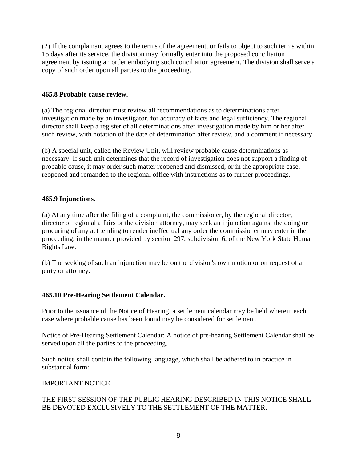<span id="page-7-0"></span>(2) If the complainant agrees to the terms of the agreement, or fails to object to such terms within 15 days after its service, the division may formally enter into the proposed conciliation agreement by issuing an order embodying such conciliation agreement. The division shall serve a copy of such order upon all parties to the proceeding.

### **465.8 Probable cause review.**

(a) The regional director must review all recommendations as to determinations after investigation made by an investigator, for accuracy of facts and legal sufficiency. The regional director shall keep a register of all determinations after investigation made by him or her after such review, with notation of the date of determination after review, and a comment if necessary.

(b) A special unit, called the Review Unit, will review probable cause determinations as necessary. If such unit determines that the record of investigation does not support a finding of probable cause, it may order such matter reopened and dismissed, or in the appropriate case, reopened and remanded to the regional office with instructions as to further proceedings.

## **465.9 Injunctions.**

(a) At any time after the filing of a complaint, the commissioner, by the regional director, director of regional affairs or the division attorney, may seek an injunction against the doing or procuring of any act tending to render ineffectual any order the commissioner may enter in the proceeding, in the manner provided by section 297, subdivision 6, of the New York State Human Rights Law.

(b) The seeking of such an injunction may be on the division's own motion or on request of a party or attorney.

# **465.10 Pre-Hearing Settlement Calendar.**

Prior to the issuance of the Notice of Hearing, a settlement calendar may be held wherein each case where probable cause has been found may be considered for settlement.

Notice of Pre-Hearing Settlement Calendar: A notice of pre-hearing Settlement Calendar shall be served upon all the parties to the proceeding.

Such notice shall contain the following language, which shall be adhered to in practice in substantial form:

### IMPORTANT NOTICE

## THE FIRST SESSION OF THE PUBLIC HEARING DESCRIBED IN THIS NOTICE SHALL BE DEVOTED EXCLUSIVELY TO THE SETTLEMENT OF THE MATTER.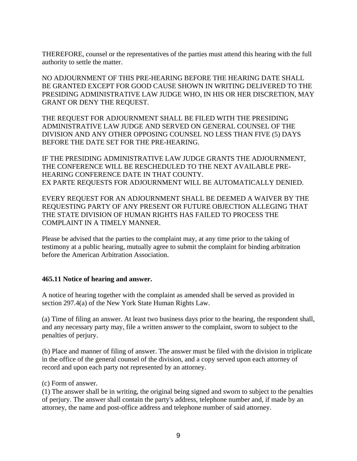<span id="page-8-0"></span>THEREFORE, counsel or the representatives of the parties must attend this hearing with the full authority to settle the matter.

NO ADJOURNMENT OF THIS PRE-HEARING BEFORE THE HEARING DATE SHALL BE GRANTED EXCEPT FOR GOOD CAUSE SHOWN IN WRITING DELIVERED TO THE PRESIDING ADMINISTRATIVE LAW JUDGE WHO, IN HIS OR HER DISCRETION, MAY GRANT OR DENY THE REQUEST.

THE REQUEST FOR ADJOURNMENT SHALL BE FILED WITH THE PRESIDING ADMINISTRATIVE LAW JUDGE AND SERVED ON GENERAL COUNSEL OF THE DIVISION AND ANY OTHER OPPOSING COUNSEL NO LESS THAN FIVE (5) DAYS BEFORE THE DATE SET FOR THE PRE-HEARING.

IF THE PRESIDING ADMINISTRATIVE LAW JUDGE GRANTS THE ADJOURNMENT, THE CONFERENCE WILL BE RESCHEDULED TO THE NEXT AVAILABLE PRE-HEARING CONFERENCE DATE IN THAT COUNTY. EX PARTE REQUESTS FOR ADJOURNMENT WILL BE AUTOMATICALLY DENIED.

EVERY REQUEST FOR AN ADJOURNMENT SHALL BE DEEMED A WAIVER BY THE REQUESTING PARTY OF ANY PRESENT OR FUTURE OBJECTION ALLEGING THAT THE STATE DIVISION OF HUMAN RIGHTS HAS FAILED TO PROCESS THE COMPLAINT IN A TIMELY MANNER.

Please be advised that the parties to the complaint may, at any time prior to the taking of testimony at a public hearing, mutually agree to submit the complaint for binding arbitration before the American Arbitration Association.

### **465.11 Notice of hearing and answer.**

A notice of hearing together with the complaint as amended shall be served as provided in section 297.4(a) of the New York State Human Rights Law.

(a) Time of filing an answer. At least two business days prior to the hearing, the respondent shall, and any necessary party may, file a written answer to the complaint, sworn to subject to the penalties of perjury.

(b) Place and manner of filing of answer. The answer must be filed with the division in triplicate in the office of the general counsel of the division, and a copy served upon each attorney of record and upon each party not represented by an attorney.

(c) Form of answer.

(1) The answer shall be in writing, the original being signed and sworn to subject to the penalties of perjury. The answer shall contain the party's address, telephone number and, if made by an attorney, the name and post-office address and telephone number of said attorney.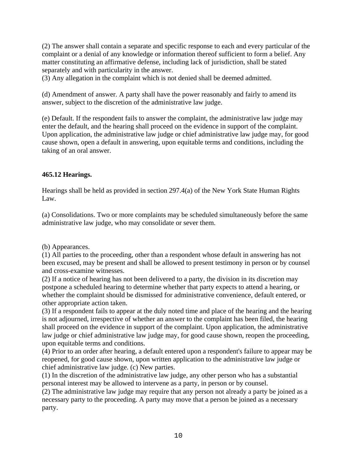<span id="page-9-0"></span>(2) The answer shall contain a separate and specific response to each and every particular of the complaint or a denial of any knowledge or information thereof sufficient to form a belief. Any matter constituting an affirmative defense, including lack of jurisdiction, shall be stated separately and with particularity in the answer.

(3) Any allegation in the complaint which is not denied shall be deemed admitted.

(d) Amendment of answer. A party shall have the power reasonably and fairly to amend its answer, subject to the discretion of the administrative law judge.

(e) Default. If the respondent fails to answer the complaint, the administrative law judge may enter the default, and the hearing shall proceed on the evidence in support of the complaint. Upon application, the administrative law judge or chief administrative law judge may, for good cause shown, open a default in answering, upon equitable terms and conditions, including the taking of an oral answer.

### **465.12 Hearings.**

Hearings shall be held as provided in section 297.4(a) of the New York State Human Rights Law.

(a) Consolidations. Two or more complaints may be scheduled simultaneously before the same administrative law judge, who may consolidate or sever them.

(b) Appearances.

(1) All parties to the proceeding, other than a respondent whose default in answering has not been excused, may be present and shall be allowed to present testimony in person or by counsel and cross-examine witnesses.

(2) If a notice of hearing has not been delivered to a party, the division in its discretion may postpone a scheduled hearing to determine whether that party expects to attend a hearing, or whether the complaint should be dismissed for administrative convenience, default entered, or other appropriate action taken.

(3) If a respondent fails to appear at the duly noted time and place of the hearing and the hearing is not adjourned, irrespective of whether an answer to the complaint has been filed, the hearing shall proceed on the evidence in support of the complaint. Upon application, the administrative law judge or chief administrative law judge may, for good cause shown, reopen the proceeding, upon equitable terms and conditions.

(4) Prior to an order after hearing, a default entered upon a respondent's failure to appear may be reopened, for good cause shown, upon written application to the administrative law judge or chief administrative law judge. (c) New parties.

(1) In the discretion of the administrative law judge, any other person who has a substantial personal interest may be allowed to intervene as a party, in person or by counsel.

(2) The administrative law judge may require that any person not already a party be joined as a necessary party to the proceeding. A party may move that a person be joined as a necessary party.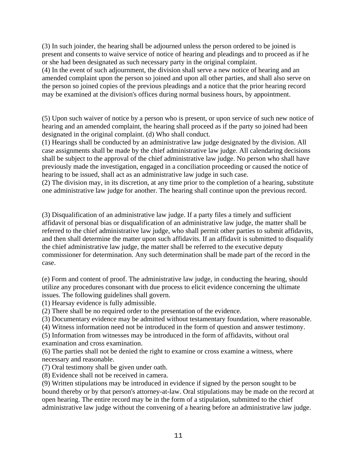(3) In such joinder, the hearing shall be adjourned unless the person ordered to be joined is present and consents to waive service of notice of hearing and pleadings and to proceed as if he or she had been designated as such necessary party in the original complaint.

(4) In the event of such adjournment, the division shall serve a new notice of hearing and an amended complaint upon the person so joined and upon all other parties, and shall also serve on the person so joined copies of the previous pleadings and a notice that the prior hearing record may be examined at the division's offices during normal business hours, by appointment.

(5) Upon such waiver of notice by a person who is present, or upon service of such new notice of hearing and an amended complaint, the hearing shall proceed as if the party so joined had been designated in the original complaint. (d) Who shall conduct.

(1) Hearings shall be conducted by an administrative law judge designated by the division. All case assignments shall be made by the chief administrative law judge. All calendaring decisions shall be subject to the approval of the chief administrative law judge. No person who shall have previously made the investigation, engaged in a conciliation proceeding or caused the notice of hearing to be issued, shall act as an administrative law judge in such case.

(2) The division may, in its discretion, at any time prior to the completion of a hearing, substitute one administrative law judge for another. The hearing shall continue upon the previous record.

(3) Disqualification of an administrative law judge. If a party files a timely and sufficient affidavit of personal bias or disqualification of an administrative law judge, the matter shall be referred to the chief administrative law judge, who shall permit other parties to submit affidavits, and then shall determine the matter upon such affidavits. If an affidavit is submitted to disqualify the chief administrative law judge, the matter shall be referred to the executive deputy commissioner for determination. Any such determination shall be made part of the record in the case.

(e) Form and content of proof. The administrative law judge, in conducting the hearing, should utilize any procedures consonant with due process to elicit evidence concerning the ultimate issues. The following guidelines shall govern.

(1) Hearsay evidence is fully admissible.

(2) There shall be no required order to the presentation of the evidence.

(3) Documentary evidence may be admitted without testamentary foundation, where reasonable.

(4) Witness information need not be introduced in the form of question and answer testimony.

(5) Information from witnesses may be introduced in the form of affidavits, without oral examination and cross examination.

(6) The parties shall not be denied the right to examine or cross examine a witness, where necessary and reasonable.

(7) Oral testimony shall be given under oath.

(8) Evidence shall not be received in camera.

(9) Written stipulations may be introduced in evidence if signed by the person sought to be bound thereby or by that person's attorney-at-law. Oral stipulations may be made on the record at open hearing. The entire record may be in the form of a stipulation, submitted to the chief administrative law judge without the convening of a hearing before an administrative law judge.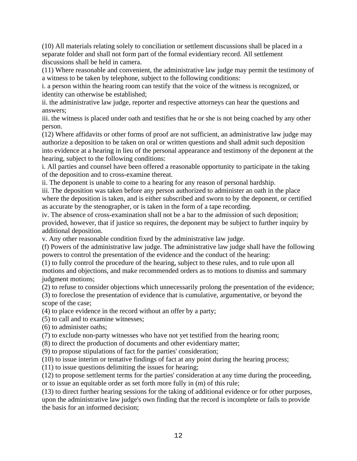(10) All materials relating solely to conciliation or settlement discussions shall be placed in a separate folder and shall not form part of the formal evidentiary record. All settlement discussions shall be held in camera.

(11) Where reasonable and convenient, the administrative law judge may permit the testimony of a witness to be taken by telephone, subject to the following conditions:

i. a person within the hearing room can testify that the voice of the witness is recognized, or identity can otherwise be established;

ii. the administrative law judge, reporter and respective attorneys can hear the questions and answers;

iii. the witness is placed under oath and testifies that he or she is not being coached by any other person.

(12) Where affidavits or other forms of proof are not sufficient, an administrative law judge may authorize a deposition to be taken on oral or written questions and shall admit such deposition into evidence at a hearing in lieu of the personal appearance and testimony of the deponent at the hearing, subject to the following conditions:

i. All parties and counsel have been offered a reasonable opportunity to participate in the taking of the deposition and to cross-examine thereat.

ii. The deponent is unable to come to a hearing for any reason of personal hardship.

iii. The deposition was taken before any person authorized to administer an oath in the place where the deposition is taken, and is either subscribed and sworn to by the deponent, or certified as accurate by the stenographer, or is taken in the form of a tape recording.

iv. The absence of cross-examination shall not be a bar to the admission of such deposition; provided, however, that if justice so requires, the deponent may be subject to further inquiry by additional deposition.

v. Any other reasonable condition fixed by the administrative law judge.

(f) Powers of the administrative law judge. The administrative law judge shall have the following powers to control the presentation of the evidence and the conduct of the hearing:

(1) to fully control the procedure of the hearing, subject to these rules, and to rule upon all motions and objections, and make recommended orders as to motions to dismiss and summary judgment motions;

(2) to refuse to consider objections which unnecessarily prolong the presentation of the evidence; (3) to foreclose the presentation of evidence that is cumulative, argumentative, or beyond the

scope of the case;

(4) to place evidence in the record without an offer by a party;

(5) to call and to examine witnesses;

(6) to administer oaths;

(7) to exclude non-party witnesses who have not yet testified from the hearing room;

(8) to direct the production of documents and other evidentiary matter;

(9) to propose stipulations of fact for the parties' consideration;

(10) to issue interim or tentative findings of fact at any point during the hearing process;

(11) to issue questions delimiting the issues for hearing;

(12) to propose settlement terms for the parties' consideration at any time during the proceeding, or to issue an equitable order as set forth more fully in (m) of this rule;

(13) to direct further hearing sessions for the taking of additional evidence or for other purposes, upon the administrative law judge's own finding that the record is incomplete or fails to provide the basis for an informed decision;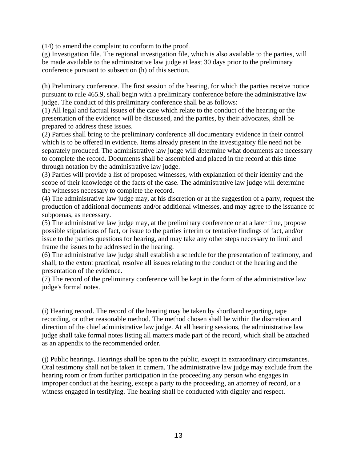(14) to amend the complaint to conform to the proof.

(g) Investigation file. The regional investigation file, which is also available to the parties, will be made available to the administrative law judge at least 30 days prior to the preliminary conference pursuant to subsection (h) of this section.

(h) Preliminary conference. The first session of the hearing, for which the parties receive notice pursuant to rule 465.9, shall begin with a preliminary conference before the administrative law judge. The conduct of this preliminary conference shall be as follows:

(1) All legal and factual issues of the case which relate to the conduct of the hearing or the presentation of the evidence will be discussed, and the parties, by their advocates, shall be prepared to address these issues.

(2) Parties shall bring to the preliminary conference all documentary evidence in their control which is to be offered in evidence. Items already present in the investigatory file need not be separately produced. The administrative law judge will determine what documents are necessary to complete the record. Documents shall be assembled and placed in the record at this time through notation by the administrative law judge.

(3) Parties will provide a list of proposed witnesses, with explanation of their identity and the scope of their knowledge of the facts of the case. The administrative law judge will determine the witnesses necessary to complete the record.

(4) The administrative law judge may, at his discretion or at the suggestion of a party, request the production of additional documents and/or additional witnesses, and may agree to the issuance of subpoenas, as necessary.

(5) The administrative law judge may, at the preliminary conference or at a later time, propose possible stipulations of fact, or issue to the parties interim or tentative findings of fact, and/or issue to the parties questions for hearing, and may take any other steps necessary to limit and frame the issues to be addressed in the hearing.

(6) The administrative law judge shall establish a schedule for the presentation of testimony, and shall, to the extent practical, resolve all issues relating to the conduct of the hearing and the presentation of the evidence.

(7) The record of the preliminary conference will be kept in the form of the administrative law judge's formal notes.

(i) Hearing record. The record of the hearing may be taken by shorthand reporting, tape recording, or other reasonable method. The method chosen shall be within the discretion and direction of the chief administrative law judge. At all hearing sessions, the administrative law judge shall take formal notes listing all matters made part of the record, which shall be attached as an appendix to the recommended order.

(j) Public hearings. Hearings shall be open to the public, except in extraordinary circumstances. Oral testimony shall not be taken in camera. The administrative law judge may exclude from the hearing room or from further participation in the proceeding any person who engages in improper conduct at the hearing, except a party to the proceeding, an attorney of record, or a witness engaged in testifying. The hearing shall be conducted with dignity and respect.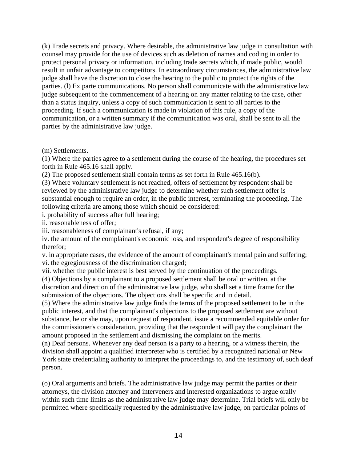(k) Trade secrets and privacy. Where desirable, the administrative law judge in consultation with counsel may provide for the use of devices such as deletion of names and coding in order to protect personal privacy or information, including trade secrets which, if made public, would result in unfair advantage to competitors. In extraordinary circumstances, the administrative law judge shall have the discretion to close the hearing to the public to protect the rights of the parties. (l) Ex parte communications. No person shall communicate with the administrative law judge subsequent to the commencement of a hearing on any matter relating to the case, other than a status inquiry, unless a copy of such communication is sent to all parties to the proceeding. If such a communication is made in violation of this rule, a copy of the communication, or a written summary if the communication was oral, shall be sent to all the parties by the administrative law judge.

(m) Settlements.

(1) Where the parties agree to a settlement during the course of the hearing, the procedures set forth in Rule 465.16 shall apply.

(2) The proposed settlement shall contain terms as set forth in Rule 465.16(b).

(3) Where voluntary settlement is not reached, offers of settlement by respondent shall be reviewed by the administrative law judge to determine whether such settlement offer is substantial enough to require an order, in the public interest, terminating the proceeding. The following criteria are among those which should be considered:

i. probability of success after full hearing;

ii. reasonableness of offer;

iii. reasonableness of complainant's refusal, if any;

iv. the amount of the complainant's economic loss, and respondent's degree of responsibility therefor;

v. in appropriate cases, the evidence of the amount of complainant's mental pain and suffering; vi. the egregiousness of the discrimination charged;

vii. whether the public interest is best served by the continuation of the proceedings.

(4) Objections by a complainant to a proposed settlement shall be oral or written, at the discretion and direction of the administrative law judge, who shall set a time frame for the submission of the objections. The objections shall be specific and in detail.

(5) Where the administrative law judge finds the terms of the proposed settlement to be in the public interest, and that the complainant's objections to the proposed settlement are without substance, he or she may, upon request of respondent, issue a recommended equitable order for the commissioner's consideration, providing that the respondent will pay the complainant the amount proposed in the settlement and dismissing the complaint on the merits.

(n) Deaf persons. Whenever any deaf person is a party to a hearing, or a witness therein, the division shall appoint a qualified interpreter who is certified by a recognized national or New York state credentialing authority to interpret the proceedings to, and the testimony of, such deaf person.

(o) Oral arguments and briefs. The administrative law judge may permit the parties or their attorneys, the division attorney and interveners and interested organizations to argue orally within such time limits as the administrative law judge may determine. Trial briefs will only be permitted where specifically requested by the administrative law judge, on particular points of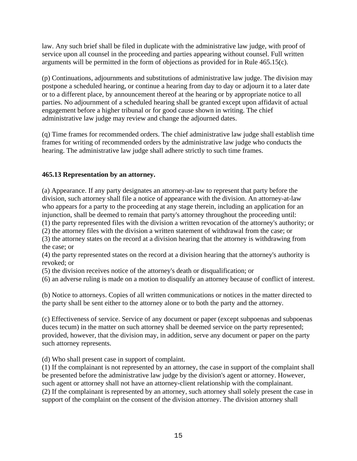<span id="page-14-0"></span>law. Any such brief shall be filed in duplicate with the administrative law judge, with proof of service upon all counsel in the proceeding and parties appearing without counsel. Full written arguments will be permitted in the form of objections as provided for in Rule 465.15(c).

(p) Continuations, adjournments and substitutions of administrative law judge. The division may postpone a scheduled hearing, or continue a hearing from day to day or adjourn it to a later date or to a different place, by announcement thereof at the hearing or by appropriate notice to all parties. No adjournment of a scheduled hearing shall be granted except upon affidavit of actual engagement before a higher tribunal or for good cause shown in writing. The chief administrative law judge may review and change the adjourned dates.

(q) Time frames for recommended orders. The chief administrative law judge shall establish time frames for writing of recommended orders by the administrative law judge who conducts the hearing. The administrative law judge shall adhere strictly to such time frames.

## **465.13 Representation by an attorney.**

(a) Appearance. If any party designates an attorney-at-law to represent that party before the division, such attorney shall file a notice of appearance with the division. An attorney-at-law who appears for a party to the proceeding at any stage therein, including an application for an injunction, shall be deemed to remain that party's attorney throughout the proceeding until:

(1) the party represented files with the division a written revocation of the attorney's authority; or

(2) the attorney files with the division a written statement of withdrawal from the case; or

(3) the attorney states on the record at a division hearing that the attorney is withdrawing from the case; or

(4) the party represented states on the record at a division hearing that the attorney's authority is revoked; or

(5) the division receives notice of the attorney's death or disqualification; or

(6) an adverse ruling is made on a motion to disqualify an attorney because of conflict of interest.

(b) Notice to attorneys. Copies of all written communications or notices in the matter directed to the party shall be sent either to the attorney alone or to both the party and the attorney.

(c) Effectiveness of service. Service of any document or paper (except subpoenas and subpoenas duces tecum) in the matter on such attorney shall be deemed service on the party represented; provided, however, that the division may, in addition, serve any document or paper on the party such attorney represents.

(d) Who shall present case in support of complaint.

(1) If the complainant is not represented by an attorney, the case in support of the complaint shall be presented before the administrative law judge by the division's agent or attorney. However, such agent or attorney shall not have an attorney-client relationship with the complainant. (2) If the complainant is represented by an attorney, such attorney shall solely present the case in support of the complaint on the consent of the division attorney. The division attorney shall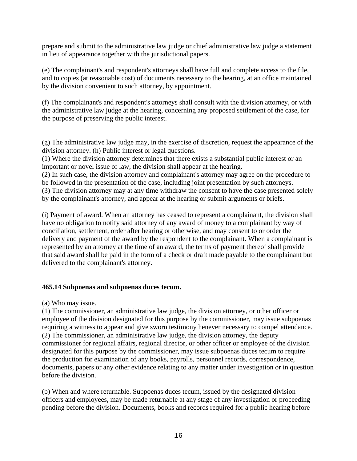<span id="page-15-0"></span>prepare and submit to the administrative law judge or chief administrative law judge a statement in lieu of appearance together with the jurisdictional papers.

(e) The complainant's and respondent's attorneys shall have full and complete access to the file, and to copies (at reasonable cost) of documents necessary to the hearing, at an office maintained by the division convenient to such attorney, by appointment.

(f) The complainant's and respondent's attorneys shall consult with the division attorney, or with the administrative law judge at the hearing, concerning any proposed settlement of the case, for the purpose of preserving the public interest.

(g) The administrative law judge may, in the exercise of discretion, request the appearance of the division attorney. (h) Public interest or legal questions.

(1) Where the division attorney determines that there exists a substantial public interest or an important or novel issue of law, the division shall appear at the hearing.

(2) In such case, the division attorney and complainant's attorney may agree on the procedure to be followed in the presentation of the case, including joint presentation by such attorneys. (3) The division attorney may at any time withdraw the consent to have the case presented solely by the complainant's attorney, and appear at the hearing or submit arguments or briefs.

(i) Payment of award. When an attorney has ceased to represent a complainant, the division shall have no obligation to notify said attorney of any award of money to a complainant by way of conciliation, settlement, order after hearing or otherwise, and may consent to or order the delivery and payment of the award by the respondent to the complainant. When a complainant is represented by an attorney at the time of an award, the terms of payment thereof shall provide that said award shall be paid in the form of a check or draft made payable to the complainant but delivered to the complainant's attorney.

### **465.14 Subpoenas and subpoenas duces tecum.**

(a) Who may issue.

(1) The commissioner, an administrative law judge, the division attorney, or other officer or employee of the division designated for this purpose by the commissioner, may issue subpoenas requiring a witness to appear and give sworn testimony henever necessary to compel attendance. (2) The commissioner, an administrative law judge, the division attorney, the deputy commissioner for regional affairs, regional director, or other officer or employee of the division designated for this purpose by the commissioner, may issue subpoenas duces tecum to require the production for examination of any books, payrolls, personnel records, correspondence, documents, papers or any other evidence relating to any matter under investigation or in question before the division.

(b) When and where returnable. Subpoenas duces tecum, issued by the designated division officers and employees, may be made returnable at any stage of any investigation or proceeding pending before the division. Documents, books and records required for a public hearing before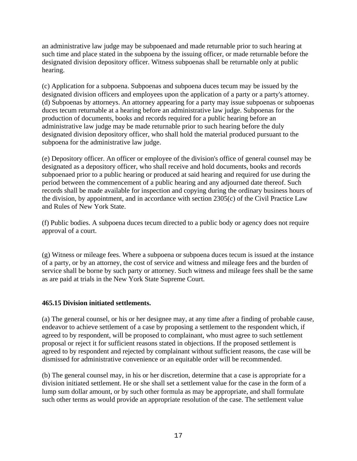<span id="page-16-0"></span>an administrative law judge may be subpoenaed and made returnable prior to such hearing at such time and place stated in the subpoena by the issuing officer, or made returnable before the designated division depository officer. Witness subpoenas shall be returnable only at public hearing.

(c) Application for a subpoena. Subpoenas and subpoena duces tecum may be issued by the designated division officers and employees upon the application of a party or a party's attorney. (d) Subpoenas by attorneys. An attorney appearing for a party may issue subpoenas or subpoenas duces tecum returnable at a hearing before an administrative law judge. Subpoenas for the production of documents, books and records required for a public hearing before an administrative law judge may be made returnable prior to such hearing before the duly designated division depository officer, who shall hold the material produced pursuant to the subpoena for the administrative law judge.

(e) Depository officer. An officer or employee of the division's office of general counsel may be designated as a depository officer, who shall receive and hold documents, books and records subpoenaed prior to a public hearing or produced at said hearing and required for use during the period between the commencement of a public hearing and any adjourned date thereof. Such records shall be made available for inspection and copying during the ordinary business hours of the division, by appointment, and in accordance with section 2305(c) of the Civil Practice Law and Rules of New York State.

(f) Public bodies. A subpoena duces tecum directed to a public body or agency does not require approval of a court.

(g) Witness or mileage fees. Where a subpoena or subpoena duces tecum is issued at the instance of a party, or by an attorney, the cost of service and witness and mileage fees and the burden of service shall be borne by such party or attorney. Such witness and mileage fees shall be the same as are paid at trials in the New York State Supreme Court.

### **465.15 Division initiated settlements.**

(a) The general counsel, or his or her designee may, at any time after a finding of probable cause, endeavor to achieve settlement of a case by proposing a settlement to the respondent which, if agreed to by respondent, will be proposed to complainant, who must agree to such settlement proposal or reject it for sufficient reasons stated in objections. If the proposed settlement is agreed to by respondent and rejected by complainant without sufficient reasons, the case will be dismissed for administrative convenience or an equitable order will be recommended.

(b) The general counsel may, in his or her discretion, determine that a case is appropriate for a division initiated settlement. He or she shall set a settlement value for the case in the form of a lump sum dollar amount, or by such other formula as may be appropriate, and shall formulate such other terms as would provide an appropriate resolution of the case. The settlement value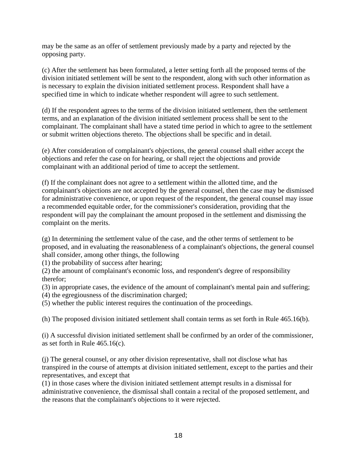may be the same as an offer of settlement previously made by a party and rejected by the opposing party.

(c) After the settlement has been formulated, a letter setting forth all the proposed terms of the division initiated settlement will be sent to the respondent, along with such other information as is necessary to explain the division initiated settlement process. Respondent shall have a specified time in which to indicate whether respondent will agree to such settlement.

(d) If the respondent agrees to the terms of the division initiated settlement, then the settlement terms, and an explanation of the division initiated settlement process shall be sent to the complainant. The complainant shall have a stated time period in which to agree to the settlement or submit written objections thereto. The objections shall be specific and in detail.

(e) After consideration of complainant's objections, the general counsel shall either accept the objections and refer the case on for hearing, or shall reject the objections and provide complainant with an additional period of time to accept the settlement.

(f) If the complainant does not agree to a settlement within the allotted time, and the complainant's objections are not accepted by the general counsel, then the case may be dismissed for administrative convenience, or upon request of the respondent, the general counsel may issue a recommended equitable order, for the commissioner's consideration, providing that the respondent will pay the complainant the amount proposed in the settlement and dismissing the complaint on the merits.

(g) In determining the settlement value of the case, and the other terms of settlement to be proposed, and in evaluating the reasonableness of a complainant's objections, the general counsel shall consider, among other things, the following

(1) the probability of success after hearing;

(2) the amount of complainant's economic loss, and respondent's degree of responsibility therefor;

(3) in appropriate cases, the evidence of the amount of complainant's mental pain and suffering;

(4) the egregiousness of the discrimination charged;

(5) whether the public interest requires the continuation of the proceedings.

(h) The proposed division initiated settlement shall contain terms as set forth in Rule 465.16(b).

(i) A successful division initiated settlement shall be confirmed by an order of the commissioner, as set forth in Rule 465.16(c).

(j) The general counsel, or any other division representative, shall not disclose what has transpired in the course of attempts at division initiated settlement, except to the parties and their representatives, and except that

(1) in those cases where the division initiated settlement attempt results in a dismissal for administrative convenience, the dismissal shall contain a recital of the proposed settlement, and the reasons that the complainant's objections to it were rejected.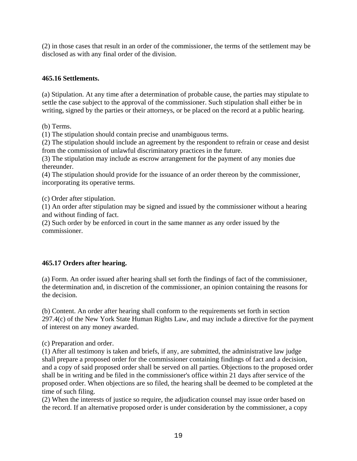<span id="page-18-0"></span>(2) in those cases that result in an order of the commissioner, the terms of the settlement may be disclosed as with any final order of the division.

## **465.16 Settlements.**

(a) Stipulation. At any time after a determination of probable cause, the parties may stipulate to settle the case subject to the approval of the commissioner. Such stipulation shall either be in writing, signed by the parties or their attorneys, or be placed on the record at a public hearing.

(b) Terms.

(1) The stipulation should contain precise and unambiguous terms.

(2) The stipulation should include an agreement by the respondent to refrain or cease and desist from the commission of unlawful discriminatory practices in the future.

(3) The stipulation may include as escrow arrangement for the payment of any monies due thereunder.

(4) The stipulation should provide for the issuance of an order thereon by the commissioner, incorporating its operative terms.

(c) Order after stipulation.

(1) An order after stipulation may be signed and issued by the commissioner without a hearing and without finding of fact.

(2) Such order by be enforced in court in the same manner as any order issued by the commissioner.

### **465.17 Orders after hearing.**

(a) Form. An order issued after hearing shall set forth the findings of fact of the commissioner, the determination and, in discretion of the commissioner, an opinion containing the reasons for the decision.

(b) Content. An order after hearing shall conform to the requirements set forth in section 297.4(c) of the New York State Human Rights Law, and may include a directive for the payment of interest on any money awarded.

(c) Preparation and order.

(1) After all testimony is taken and briefs, if any, are submitted, the administrative law judge shall prepare a proposed order for the commissioner containing findings of fact and a decision, and a copy of said proposed order shall be served on all parties. Objections to the proposed order shall be in writing and be filed in the commissioner's office within 21 days after service of the proposed order. When objections are so filed, the hearing shall be deemed to be completed at the time of such filing.

(2) When the interests of justice so require, the adjudication counsel may issue order based on the record. If an alternative proposed order is under consideration by the commissioner, a copy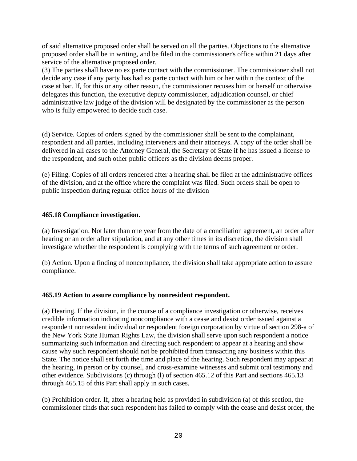<span id="page-19-0"></span>of said alternative proposed order shall be served on all the parties. Objections to the alternative proposed order shall be in writing, and be filed in the commissioner's office within 21 days after service of the alternative proposed order.

(3) The parties shall have no ex parte contact with the commissioner. The commissioner shall not decide any case if any party has had ex parte contact with him or her within the context of the case at bar. If, for this or any other reason, the commissioner recuses him or herself or otherwise delegates this function, the executive deputy commissioner, adjudication counsel, or chief administrative law judge of the division will be designated by the commissioner as the person who is fully empowered to decide such case.

(d) Service. Copies of orders signed by the commissioner shall be sent to the complainant, respondent and all parties, including interveners and their attorneys. A copy of the order shall be delivered in all cases to the Attorney General, the Secretary of State if he has issued a license to the respondent, and such other public officers as the division deems proper.

(e) Filing. Copies of all orders rendered after a hearing shall be filed at the administrative offices of the division, and at the office where the complaint was filed. Such orders shall be open to public inspection during regular office hours of the division

### **465.18 Compliance investigation.**

(a) Investigation. Not later than one year from the date of a conciliation agreement, an order after hearing or an order after stipulation, and at any other times in its discretion, the division shall investigate whether the respondent is complying with the terms of such agreement or order.

(b) Action. Upon a finding of noncompliance, the division shall take appropriate action to assure compliance.

### **465.19 Action to assure compliance by nonresident respondent.**

(a) Hearing. If the division, in the course of a compliance investigation or otherwise, receives credible information indicating noncompliance with a cease and desist order issued against a respondent nonresident individual or respondent foreign corporation by virtue of section 298-a of the New York State Human Rights Law, the division shall serve upon such respondent a notice summarizing such information and directing such respondent to appear at a hearing and show cause why such respondent should not be prohibited from transacting any business within this State. The notice shall set forth the time and place of the hearing. Such respondent may appear at the hearing, in person or by counsel, and cross-examine witnesses and submit oral testimony and other evidence. Subdivisions (c) through (l) of section 465.12 of this Part and sections 465.13 through 465.15 of this Part shall apply in such cases.

(b) Prohibition order. If, after a hearing held as provided in subdivision (a) of this section, the commissioner finds that such respondent has failed to comply with the cease and desist order, the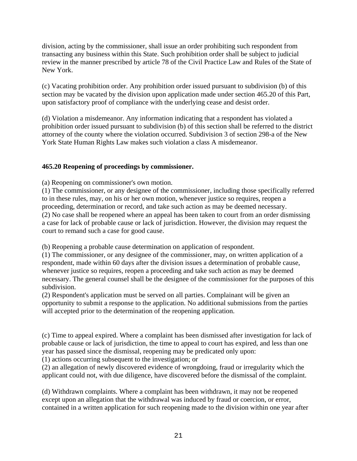<span id="page-20-0"></span>division, acting by the commissioner, shall issue an order prohibiting such respondent from transacting any business within this State. Such prohibition order shall be subject to judicial review in the manner prescribed by article 78 of the Civil Practice Law and Rules of the State of New York.

(c) Vacating prohibition order. Any prohibition order issued pursuant to subdivision (b) of this section may be vacated by the division upon application made under section 465.20 of this Part, upon satisfactory proof of compliance with the underlying cease and desist order.

(d) Violation a misdemeanor. Any information indicating that a respondent has violated a prohibition order issued pursuant to subdivision (b) of this section shall be referred to the district attorney of the county where the violation occurred. Subdivision 3 of section 298-a of the New York State Human Rights Law makes such violation a class A misdemeanor.

## **465.20 Reopening of proceedings by commissioner.**

(a) Reopening on commissioner's own motion.

(1) The commissioner, or any designee of the commissioner, including those specifically referred to in these rules, may, on his or her own motion, whenever justice so requires, reopen a proceeding, determination or record, and take such action as may be deemed necessary. (2) No case shall be reopened where an appeal has been taken to court from an order dismissing a case for lack of probable cause or lack of jurisdiction. However, the division may request the court to remand such a case for good cause.

(b) Reopening a probable cause determination on application of respondent.

(1) The commissioner, or any designee of the commissioner, may, on written application of a respondent, made within 60 days after the division issues a determination of probable cause, whenever justice so requires, reopen a proceeding and take such action as may be deemed necessary. The general counsel shall be the designee of the commissioner for the purposes of this subdivision.

(2) Respondent's application must be served on all parties. Complainant will be given an opportunity to submit a response to the application. No additional submissions from the parties will accepted prior to the determination of the reopening application.

(c) Time to appeal expired. Where a complaint has been dismissed after investigation for lack of probable cause or lack of jurisdiction, the time to appeal to court has expired, and less than one year has passed since the dismissal, reopening may be predicated only upon:

(1) actions occurring subsequent to the investigation; or

(2) an allegation of newly discovered evidence of wrongdoing, fraud or irregularity which the applicant could not, with due diligence, have discovered before the dismissal of the complaint.

(d) Withdrawn complaints. Where a complaint has been withdrawn, it may not be reopened except upon an allegation that the withdrawal was induced by fraud or coercion, or error, contained in a written application for such reopening made to the division within one year after